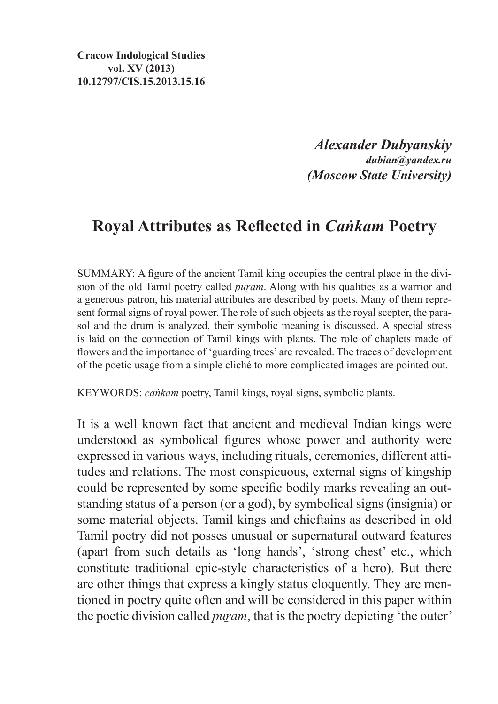**Cracow Indological Studies vol. XV (2013) 10.12797/CIS.15.2013.15.16**

> *Alexander Dubyanskiy dubian@yandex.ru (Moscow State University)*

## **Royal Attributes as Reflected in** *Caṅkam* **Poetry**

SUMMARY: A figure of the ancient Tamil king occupies the central place in the division of the old Tamil poetry called *puram*. Along with his qualities as a warrior and a generous patron, his material attributes are described by poets. Many of them represent formal signs of royal power. The role of such objects as the royal scepter, the parasol and the drum is analyzed, their symbolic meaning is discussed. A special stress is laid on the connection of Tamil kings with plants. The role of chaplets made of flowers and the importance of 'guarding trees' are revealed. The traces of development of the poetic usage from a simple cliché to more complicated images are pointed out.

KEYWORDS: *caṅkam* poetry, Tamil kings, royal signs, symbolic plants.

It is a well known fact that ancient and medieval Indian kings were understood as symbolical figures whose power and authority were expressed in various ways, including rituals, ceremonies, different attitudes and relations. The most conspicuous, external signs of kingship could be represented by some specific bodily marks revealing an outstanding status of a person (or a god), by symbolical signs (insignia) or some material objects. Tamil kings and chieftains as described in old Tamil poetry did not posses unusual or supernatural outward features (apart from such details as 'long hands', 'strong chest' etc., which constitute traditional epic-style characteristics of a hero). But there are other things that express a kingly status eloquently. They are mentioned in poetry quite often and will be considered in this paper within the poetic division called *puram*, that is the poetry depicting 'the outer'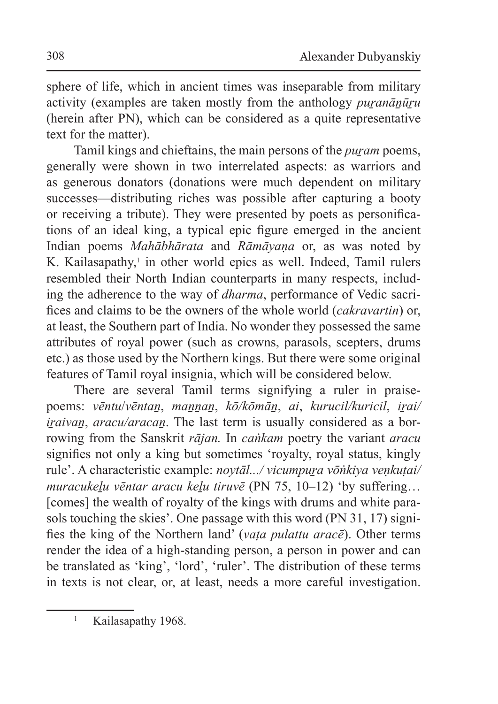sphere of life, which in ancient times was inseparable from military activity (examples are taken mostly from the anthology *puranānūru* (herein after PN), which can be considered as a quite representative text for the matter).

Tamil kings and chieftains, the main persons of the *puram* poems, generally were shown in two interrelated aspects: as warriors and as generous donators (donations were much dependent on military successes—distributing riches was possible after capturing a booty or receiving a tribute). They were presented by poets as personifications of an ideal king, a typical epic figure emerged in the ancient Indian poems *Mahābhārata* and *Rāmāyaṇa* or, as was noted by K. Kailasapathy,<sup>1</sup> in other world epics as well. Indeed, Tamil rulers resembled their North Indian counterparts in many respects, including the adherence to the way of *dharma*, performance of Vedic sacrifices and claims to be the owners of the whole world (*cakravartin*) or, at least, the Southern part of India. No wonder they possessed the same attributes of royal power (such as crowns, parasols, scepters, drums etc.) as those used by the Northern kings. But there were some original features of Tamil royal insignia, which will be considered below.

There are several Tamil terms signifying a ruler in praisepoems: *vēntu*/*vēntaṉ*, *maṉṉaṉ*, *kō/kōmāṉ*, *ai*, *kurucil/kuricil*, *iṟai/ iraivan*, *aracu/aracan*. The last term is usually considered as a borrowing from the Sanskrit *rājan.* In *caṅkam* poetry the variant *aracu*  signifies not only a king but sometimes 'royalty, royal status, kingly rule'. A characteristic example: *noytāl.../ vicumpuṟa vōṅkiya veṇkuṭai/ muracukeḻu vēntar aracu keḻu tiruvē* (PN 75, 10–12) 'by suffering… [comes] the wealth of royalty of the kings with drums and white parasols touching the skies'. One passage with this word (PN 31, 17) signifies the king of the Northern land' (*vaṭa pulattu aracē*). Other terms render the idea of a high-standing person, a person in power and can be translated as 'king', 'lord', 'ruler'. The distribution of these terms in texts is not clear, or, at least, needs a more careful investigation.

<sup>&</sup>lt;sup>1</sup> Kailasapathy 1968.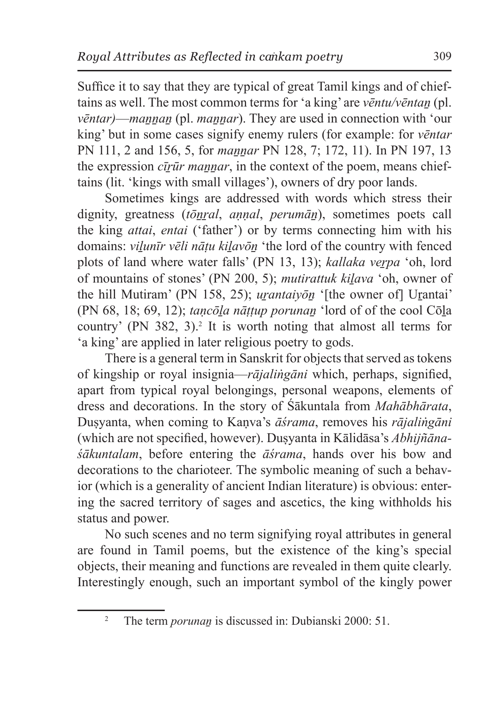Suffice it to say that they are typical of great Tamil kings and of chieftains as well. The most common terms for 'a king' are *vēntu/vēntaṉ* (pl. *vēntar*)—*mannan* (pl. *mannar*). They are used in connection with 'our king' but in some cases signify enemy rulers (for example: for *vēntar* PN 111, 2 and 156, 5, for *maṉṉar* PN 128, 7; 172, 11). In PN 197, 13 the expression *cīrūr mannar*, in the context of the poem, means chieftains (lit. 'kings with small villages'), owners of dry poor lands.

Sometimes kings are addressed with words which stress their dignity, greatness (*tōṉṟal*, *aṇṇal*, *perumāṉ*), sometimes poets call the king *attai*, *entai* ('father') or by terms connecting him with his domains: *vilunīr vēli nātu kilavōn* 'the lord of the country with fenced plots of land where water falls' (PN 13, 13); *kallaka veṟpa* 'oh, lord of mountains of stones' (PN 200, 5); *mutirattuk kiḻava* 'oh, owner of the hill Mutiram' (PN 158, 25); *urantaiyon* '[the owner of] Urantai' (PN 68, 18; 69, 12); *taṇcōḻa nāṭṭup porunaṉ* 'lord of of the cool Cōḻa country' (PN 382, 3).<sup>2</sup> It is worth noting that almost all terms for 'a king' are applied in later religious poetry to gods.

There is a general term in Sanskrit for objects that served astokens of kingship or royal insignia—*rājaliṅgāni* which, perhaps, signified, apart from typical royal belongings, personal weapons, elements of dress and decorations. In the story of Śākuntala from *Mahābhārata*, Duṣyanta, when coming to Kaṇva's *āśrama*, removes his *rājaliṅgāni* (which are not specified, however). Duṣyanta in Kālidāsa's *Abhijñānaśākuntalam*, before entering the *āśrama*, hands over his bow and decorations to the charioteer. The symbolic meaning of such a behavior (which is a generality of ancient Indian literature) is obvious: entering the sacred territory of sages and ascetics, the king withholds his status and power.

No such scenes and no term signifying royal attributes in general are found in Tamil poems, but the existence of the king's special objects, their meaning and functions are revealed in them quite clearly. Interestingly enough, such an important symbol of the kingly power

<sup>&</sup>lt;sup>2</sup> The term *porunan* is discussed in: Dubianski 2000: 51.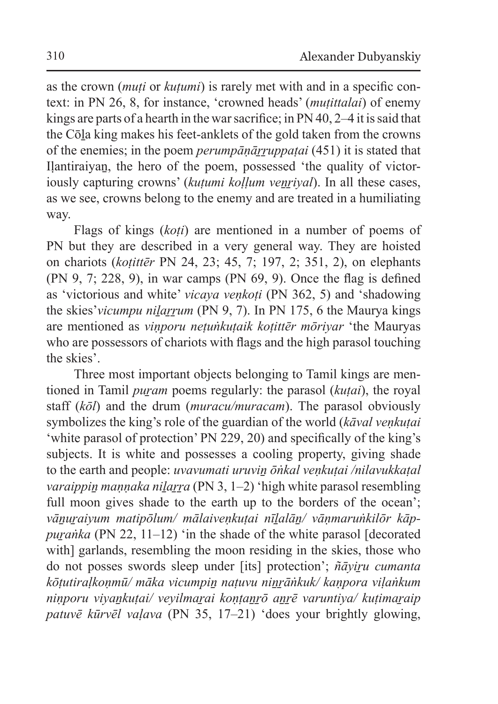as the crown (*muṭi* or *kuṭumi*) is rarely met with and in a specific context: in PN 26, 8, for instance, 'crowned heads' (*muṭittalai*) of enemy kings are parts of a hearth in the war sacrifice; in PN 40, 2–4 it is said that the Cōḻa king makes his feet-anklets of the gold taken from the crowns of the enemies; in the poem *perumpāṇāṟṟuppaṭai* (451) it is stated that Ilantiraiyan, the hero of the poem, possessed 'the quality of victoriously capturing crowns' (*kutumi kollum venrival*). In all these cases, as we see, crowns belong to the enemy and are treated in a humiliating way.

Flags of kings (*koṭi*) are mentioned in a number of poems of PN but they are described in a very general way. They are hoisted on chariots (*koṭittēr* PN 24, 23; 45, 7; 197, 2; 351, 2), on elephants (PN 9, 7; 228, 9), in war camps (PN 69, 9). Once the flag is defined as 'victorious and white' *vicaya veṇkoṭi* (PN 362, 5) and 'shadowing the skies'*vicumpu nilarrum* (PN 9, 7). In PN 175, 6 the Maurya kings are mentioned as *viṇporu neṭuṅkuṭaik koṭittēr mōriyar* 'the Mauryas who are possessors of chariots with flags and the high parasol touching the skies'.

Three most important objects belonging to Tamil kings are mentioned in Tamil *puram* poems regularly: the parasol *(kutai)*, the royal staff (*kōl*) and the drum (*muracu/muracam*). The parasol obviously symbolizes the king's role of the guardian of the world (*kāval veṇkuṭai* 'white parasol of protection' PN 229, 20) and specifically of the king's subjects. It is white and possesses a cooling property, giving shade to the earth and people: *uvavumati uruviṉ ōṅkal veṇkuṭai /nilavukkaṭal varaippin mannaka nilarra* (PN 3, 1–2) 'high white parasol resembling full moon gives shade to the earth up to the borders of the ocean'; vānuraiyum matipōlum/ mālaivenkutai nīlalān/ vānmaruṅkilōr kāp*puranka* (PN 22, 11–12) 'in the shade of the white parasol [decorated] with] garlands, resembling the moon residing in the skies, those who do not posses swords sleep under [its] protection'; *ñāyiru cumanta kōṭutiraḷkoṇmū/ māka vicumpiṉ naṭuvu niṉṟāṅkuk/ kaṇpora viḷaṅkum niṇporu viyaṉkuṭai/ veyilmaṟai koṇṭaṉṟō aṉṟē varuntiya/ kuṭimaṟaip patuvē kūrvēl vaḷava* (PN 35, 17–21) 'does your brightly glowing,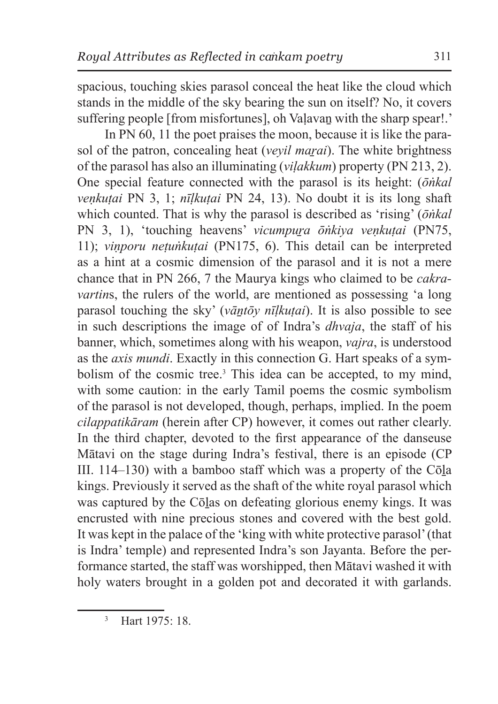spacious, touching skies parasol conceal the heat like the cloud which stands in the middle of the sky bearing the sun on itself? No, it covers suffering people [from misfortunes], oh Valavan with the sharp spear!.'

In PN 60, 11 the poet praises the moon, because it is like the parasol of the patron, concealing heat *(veyil marai)*. The white brightness of the parasol has also an illuminating (*viḷakkum*) property (PN 213, 2). One special feature connected with the parasol is its height: (*ōṅkal veṇkuṭai* PN 3, 1; *nīḷkuṭai* PN 24, 13). No doubt it is its long shaft which counted. That is why the parasol is described as 'rising' (*ōṅkal* PN 3, 1), 'touching heavens' *vicumpura ōṅkiya venkutai* (PN75, 11); *viṇporu neṭuṅkuṭai* (PN175, 6). This detail can be interpreted as a hint at a cosmic dimension of the parasol and it is not a mere chance that in PN 266, 7 the Maurya kings who claimed to be *cakravartins*, the rulers of the world, are mentioned as possessing 'a long parasol touching the sky' (*vāntōy nīlkutai*). It is also possible to see in such descriptions the image of of Indra's *dhvaja*, the staff of his banner, which, sometimes along with his weapon, *vajra*, is understood as the *axis mundi*. Exactly in this connection G. Hart speaks of a symbolism of the cosmic tree.<sup>3</sup> This idea can be accepted, to my mind, with some caution: in the early Tamil poems the cosmic symbolism of the parasol is not developed, though, perhaps, implied. In the poem *cilappatikāram* (herein after CP) however, it comes out rather clearly. In the third chapter, devoted to the first appearance of the danseuse Mātavi on the stage during Indra's festival, there is an episode (CP III. 114–130) with a bamboo staff which was a property of the Cōḻa kings. Previously it served as the shaft of the white royal parasol which was captured by the Cōlas on defeating glorious enemy kings. It was encrusted with nine precious stones and covered with the best gold. It was kept in the palace of the 'king with white protective parasol' (that is Indra' temple) and represented Indra's son Jayanta. Before the performance started, the staff was worshipped, then Mātavi washed it with holy waters brought in a golden pot and decorated it with garlands.

<sup>3</sup> Hart 1975: 18.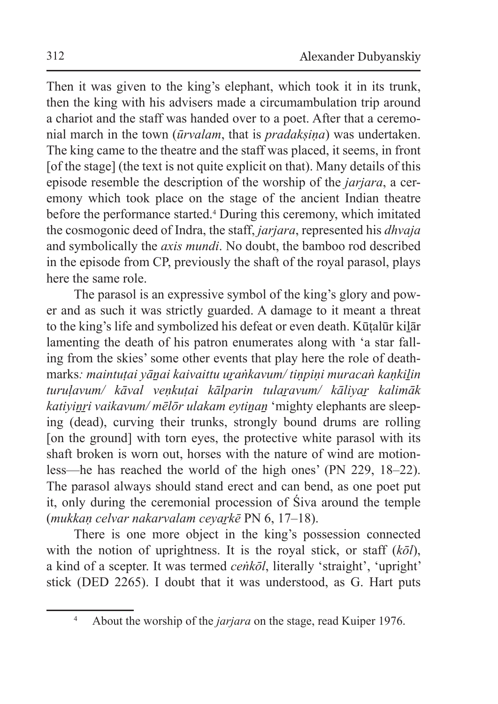Then it was given to the king's elephant, which took it in its trunk, then the king with his advisers made a circumambulation trip around a chariot and the staff was handed over to a poet. After that a ceremonial march in the town (*ūrvalam*, that is *pradakṣiṇa*) was undertaken. The king came to the theatre and the staff was placed, it seems, in front [of the stage] (the text is not quite explicit on that). Many details of this episode resemble the description of the worship of the *jarjara*, a ceremony which took place on the stage of the ancient Indian theatre before the performance started.<sup>4</sup> During this ceremony, which imitated the cosmogonic deed of Indra, the staff, *jarjara*, represented his *dhvaja*  and symbolically the *axis mundi*. No doubt, the bamboo rod described in the episode from CP, previously the shaft of the royal parasol, plays here the same role.

The parasol is an expressive symbol of the king's glory and power and as such it was strictly guarded. A damage to it meant a threat to the king's life and symbolized his defeat or even death. Kūṭalūr kiḻār lamenting the death of his patron enumerates along with 'a star falling from the skies' some other events that play here the role of deathmarks*: maintuṭai yāṉai kaivaittu uṟaṅkavum/ tiṇpiṇi muracaṅ kaṇkiḻin turuḷavum/ kāval veṇkuṭai kālparin tulaṟavum/ kāliyaṟ kalimāk katiyinri vaikavum/ mēlōr ulakam eytinan* 'mighty elephants are sleeping (dead), curving their trunks, strongly bound drums are rolling [on the ground] with torn eyes, the protective white parasol with its shaft broken is worn out, horses with the nature of wind are motionless—he has reached the world of the high ones' (PN 229, 18–22). The parasol always should stand erect and can bend, as one poet put it, only during the ceremonial procession of Śiva around the temple (*mukkaṇ celvar nakarvalam ceyaṟkē* PN 6, 17–18).

There is one more object in the king's possession connected with the notion of uprightness. It is the royal stick, or staff (*kōl*), a kind of a scepter. It was termed *ceṅkōl*, literally 'straight', 'upright' stick (DED 2265). I doubt that it was understood, as G. Hart puts

<sup>4</sup> About the worship of the *jarjara* on the stage, read Kuiper 1976.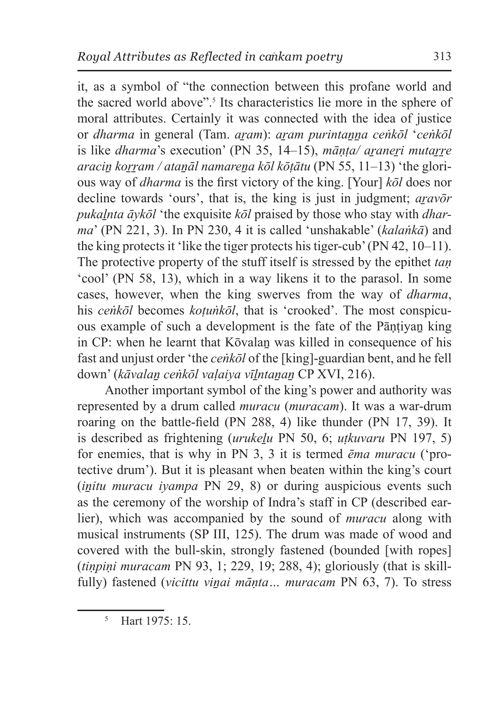it, as a symbol of "the connection between this profane world and the sacred world above".<sup>5</sup> Its characteristics lie more in the sphere of moral attributes. Certainly it was connected with the idea of justice or *dharma* in general (Tam. *aṟam*): *aṟam purintaṉṉa ceṅkōl* '*ceṅkōl*  is like *dharma*'s execution' (PN 35, 14–15), *mānta/ araneri mutarre araciṉ koṟṟam / ataṉāl namareṉa kōl kōṭātu* (PN 55, 11–13) 'the glorious way of *dharma* is the first victory of the king. [Your] *kōl* does nor decline towards 'ours', that is, the king is just in judgment; *aṟavōr pukaḻnta āykōl* 'the exquisite *kōl* praised by those who stay with *dharma*' (PN 221, 3). In PN 230, 4 it is called 'unshakable' (*kalaṅkā*) and the king protects it 'like the tiger protects his tiger-cub' (PN 42, 10–11). The protective property of the stuff itself is stressed by the epithet *taṇ*  'cool' (PN 58, 13), which in a way likens it to the parasol. In some cases, however, when the king swerves from the way of *dharma*, his *cenkōl* becomes *kotunkōl*, that is 'crooked'. The most conspicuous example of such a development is the fate of the Pāntiyan king in CP: when he learnt that Kōvalan was killed in consequence of his fast and unjust order 'the *ceṅkōl* of the [king]-guardian bent, and he fell down' (*kāvalaṉ ceṅkōl vaḷaiya vīḻntaṉaṉ* CP XVI, 216).

Another important symbol of the king's power and authority was represented by a drum called *muracu* (*muracam*). It was a war-drum roaring on the battle-field (PN 288, 4) like thunder (PN 17, 39). It is described as frightening (*urukeḻu* PN 50, 6; *uṭkuvaru* PN 197, 5) for enemies, that is why in PN 3, 3 it is termed *ēma muracu* ('protective drum'). But it is pleasant when beaten within the king's court (*initu muracu iyampa* PN 29, 8) or during auspicious events such as the ceremony of the worship of Indra's staff in CP (described earlier), which was accompanied by the sound of *muracu* along with musical instruments (SP III, 125). The drum was made of wood and covered with the bull-skin, strongly fastened (bounded [with ropes] (*tiṇpiṇi muracam* PN 93, 1; 229, 19; 288, 4); gloriously (that is skillfully) fastened (*vicittu viṇai māṇta... muracam* PN 63, 7). To stress

<sup>5</sup> Hart 1975: 15.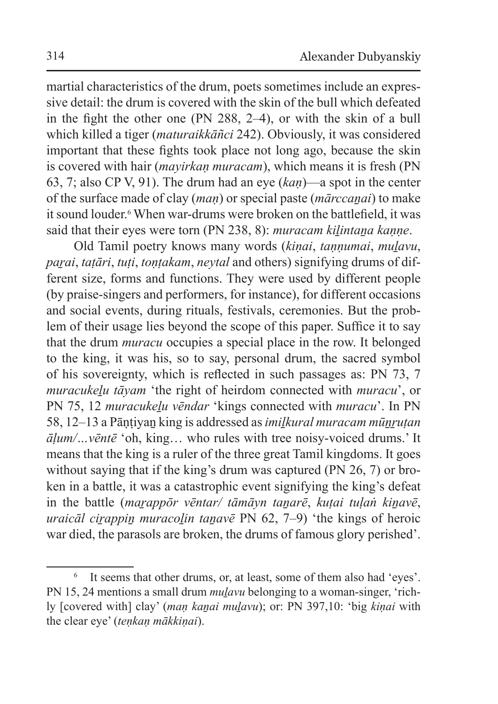martial characteristics of the drum, poets sometimes include an expressive detail: the drum is covered with the skin of the bull which defeated in the fight the other one (PN 288, 2–4), or with the skin of a bull which killed a tiger (*maturaikkāñci* 242). Obviously, it was considered important that these fights took place not long ago, because the skin is covered with hair (*mayirkan muracam*), which means it is fresh (PN 63, 7; also CP V, 91). The drum had an eye (*kaṇ*)—a spot in the center of the surface made of clay (*maṇ*) or special paste (*mārccaṉai*) to make it sound louder.<sup>6</sup> When war-drums were broken on the battlefield, it was said that their eyes were torn (PN 238, 8): *muracam kilintana kanne*.

Old Tamil poetry knows many words (*kiṇai*, *taṇṇumai*, *muḻavu*, *paṟai*, *taṭāri*, *tuṭi*, *toṇṭakam*, *neytal* and others) signifying drums of different size, forms and functions. They were used by different people (by praise-singers and performers, for instance), for different occasions and social events, during rituals, festivals, ceremonies. But the problem of their usage lies beyond the scope of this paper. Suffice it to say that the drum *muracu* occupies a special place in the row. It belonged to the king, it was his, so to say, personal drum, the sacred symbol of his sovereignty, which is reflected in such passages as: PN 73, 7 *muracukeḻu tāyam* 'the right of heirdom connected with *muracu*', or PN 75, 12 *muracukeḻu vēndar* 'kings connected with *muracu*'. In PN 58, 12–13 a Pāṇṭiyaṉ king is addressed as*imiḻkural muracam mūṉṟuṭan āḷum/…vēntē* 'oh, king… who rules with tree noisy-voiced drums.' It means that the king is a ruler of the three great Tamil kingdoms. It goes without saying that if the king's drum was captured (PN 26, 7) or broken in a battle, it was a catastrophic event signifying the king's defeat in the battle (*maṟappōr vēntar/ tāmāyn taṉarē*, *kuṭai tuḷaṅ kiṉavē*, *uraicāl cirappin muracolin tanavē* PN 62, 7–9) 'the kings of heroic war died, the parasols are broken, the drums of famous glory perished'.

<sup>6</sup> It seems that other drums, or, at least, some of them also had 'eyes'. PN 15, 24 mentions a small drum *mulavu* belonging to a woman-singer, 'richly [covered with] clay' (*maṇ kaṉai muḻavu*); or: PN 397,10: 'big *kiṇai* with the clear eye' (*teṇkaṇ mākkiṇai*).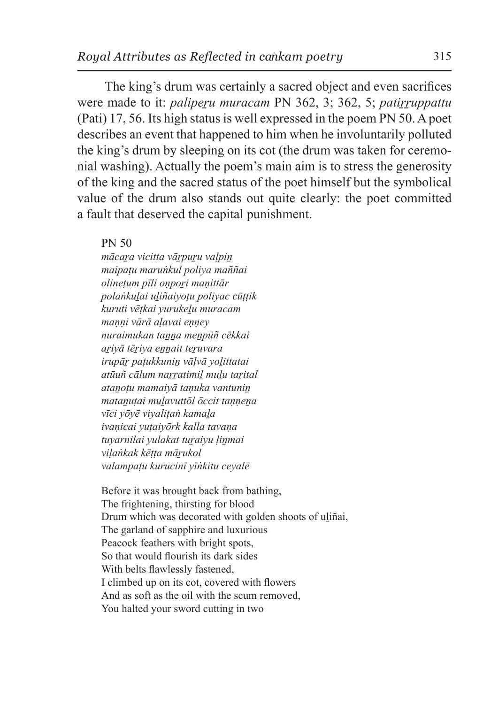The king's drum was certainly a sacred object and even sacrifices were made to it: *paliperu muracam* PN 362, 3: 362, 5; *patirruppattu* (Pati) 17, 56. Its high status is well expressed in the poem PN 50. Apoet describes an event that happened to him when he involuntarily polluted the king's drum by sleeping on its cot (the drum was taken for ceremonial washing). Actually the poem's main aim is to stress the generosity of the king and the sacred status of the poet himself but the symbolical value of the drum also stands out quite clearly: the poet committed a fault that deserved the capital punishment.

PN 50

*mācaṟa vicitta vāṟpuṟu vaḷpiṉ maipaṭu maruṅkul poliya maññai olineṭum pīli oṇpoṟi maṇittār polaṅkuḻai uḻiñaiyoṭu poliyac cūṭṭik kuruti vēṭkai yurukeḻu muracam maṇṇi vārā aḷavai eṇṇey nuraimukan taṉṉa meṉpūñ cēkkai aṟiyā tēṟiya eṉṉait teṟuvara irupāṟ paṭukkuniṉ vāḷvā yoḻittatai atūuñ cālum naṟṟatimiḻ muḻu taṟital ataṉoṭu mamaiyā taṇuka vantuniṉ mataṉuṭai muḻavuttōl ōccit taṇṇeṉa vīci yōyē viyaliṭaṅ kamaḻa ivaṇicai yuṭaiyōrk kalla tavaṇa tuyarnilai yulakat tuṟaiyu ḷiṉmai viḷaṅkak kēṭṭa māṟukol valampaṭu kurucinī yīṅkitu ceyalē*

Before it was brought back from bathing, The frightening, thirsting for blood Drum which was decorated with golden shoots of uliñai, The garland of sapphire and luxurious Peacock feathers with bright spots, So that would flourish its dark sides With belts flawlessly fastened, I climbed up on its cot, covered with flowers And as soft as the oil with the scum removed, You halted your sword cutting in two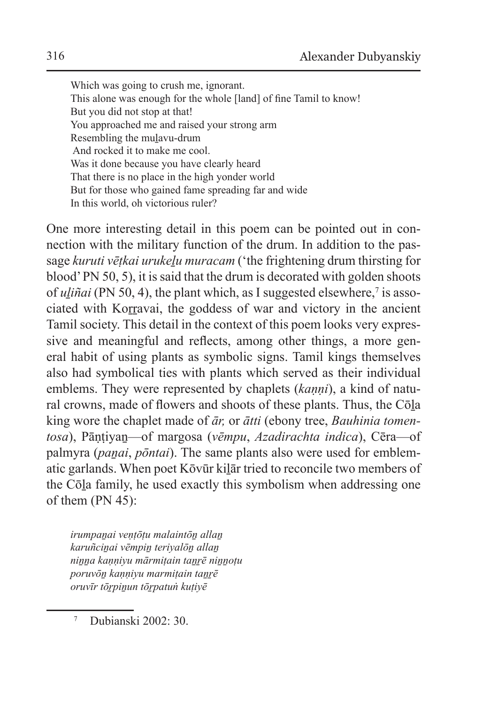Which was going to crush me, ignorant. This alone was enough for the whole [land] of fine Tamil to know! But you did not stop at that! You approached me and raised your strong arm Resembling the muḻavu-drum And rocked it to make me cool. Was it done because you have clearly heard That there is no place in the high yonder world But for those who gained fame spreading far and wide In this world, oh victorious ruler?

One more interesting detail in this poem can be pointed out in connection with the military function of the drum. In addition to the passage *kuruti vētkai urukelu muracam* ('the frightening drum thirsting for blood' PN 50, 5), it issaid that the drum is decorated with golden shoots of *uliñai* (PN 50, 4), the plant which, as I suggested elsewhere,<sup>7</sup> is associated with Korravai, the goddess of war and victory in the ancient Tamil society. This detail in the context of this poem looks very expressive and meaningful and reflects, among other things, a more general habit of using plants as symbolic signs. Tamil kings themselves also had symbolical ties with plants which served as their individual emblems. They were represented by chaplets (*kaṇṇi*), a kind of natural crowns, made of flowers and shoots of these plants. Thus, the Cōḻa king wore the chaplet made of *ār,* or *ātti* (ebony tree, *Bauhinia tomentosa*), Pāṇṭiyaṉ—of margosa (*vēmpu*, *Azadirachta indica*), Cēra—of palmyra (*panai*, *pōntai*). The same plants also were used for emblematic garlands. When poet Kōvūr kiḻār tried to reconcile two members of the Cōḻa family, he used exactly this symbolism when addressing one of them (PN 45):

*irumpaṉai veṇṭōṭu malaintōṉ allaṉ karuñciṉai vēmpiṉ teriyalōṉ allaṉ niṉṉa kaṇṇiyu mārmiṭain taṉṟē niṉṉoṭu poruvōṉ kaṇṇiyu marmiṭain taṉṟē oruvīr tōṟpiṉun tōṟpatuṅ kuṭiyē*

<sup>7</sup> Dubianski 2002: 30.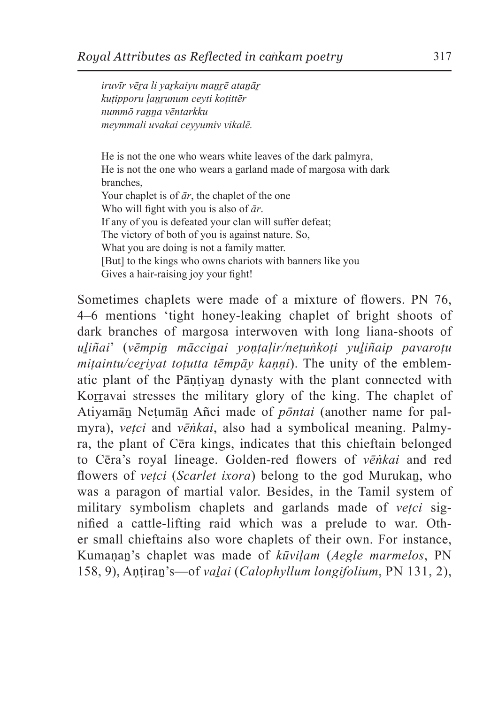*iruvīr vēṟa li yaṟkaiyu maṉṟē ataṉāṟ kuṭipporu ḷaṉṟunum ceyti koṭittēr nummō raṉṉa vēntarkku meymmali uvakai ceyyumiv vikalē.*

He is not the one who wears white leaves of the dark palmyra, He is not the one who wears a garland made of margosa with dark branches, Your chaplet is of *ār*, the chaplet of the one Who will fight with you is also of *ār*. If any of you is defeated your clan will suffer defeat; The victory of both of you is against nature. So, What you are doing is not a family matter. [But] to the kings who owns chariots with banners like you Gives a hair-raising joy your fight!

Sometimes chaplets were made of a mixture of flowers. PN 76, 4–6 mentions 'tight honey-leaking chaplet of bright shoots of dark branches of margosa interwoven with long liana-shoots of *uḻiñai*' (*vēmpiṉ mācciṉai yoṇṭaḷir/neṭuṅkoṭi yuḻiñaip pavaroṭu mitaintu/cerivat toṭutta tēmpāy kaṇṇi*). The unity of the emblematic plant of the Pāṇṭiyaṉ dynasty with the plant connected with Korravai stresses the military glory of the king. The chaplet of Atiyamāṉ Neṭumāṉ Añci made of *pōntai* (another name for palmyra), *vetci* and *vēṅkai*, also had a symbolical meaning. Palmyra, the plant of Cēra kings, indicates that this chieftain belonged to Cēra's royal lineage. Golden-red flowers of *vēṅkai* and red flowers of *veṭci* (*Scarlet ixora*) belong to the god Murukaṉ, who was a paragon of martial valor. Besides, in the Tamil system of military symbolism chaplets and garlands made of *veṭci* signified a cattle-lifting raid which was a prelude to war. Other small chieftains also wore chaplets of their own. For instance, Kumaṇaṉ's chaplet was made of *kūviḷam* (*Aegle marmelos*, PN 158, 9), Aṇṭiraṉ's—of *vaḻai* (*Calophyllum longifolium*, PN 131, 2),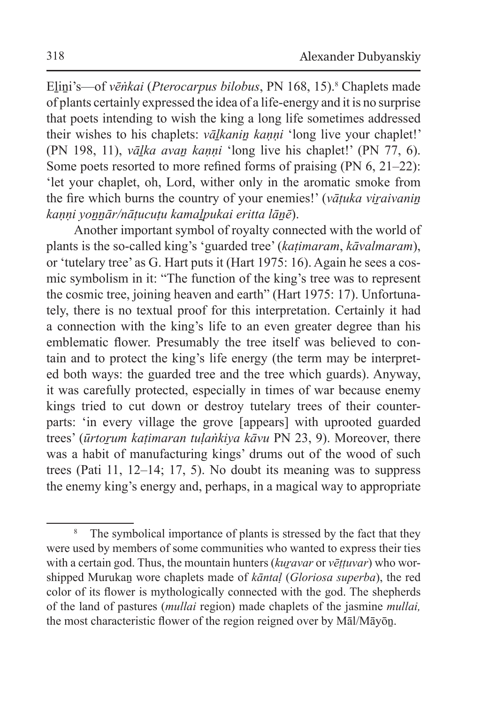Eḻiṉi's—of *vēṅkai* (*Pterocarpus bilobus*, PN 168, 15).<sup>8</sup> Chaplets made of plants certainly expressed the idea of a life-energy and it is no surprise that poets intending to wish the king a long life sometimes addressed their wishes to his chaplets: *vāḻkaniṉ kaṇṇi* 'long live your chaplet!' (PN 198, 11), *vāḻka avaṉ kaṇṇi* 'long live his chaplet!' (PN 77, 6). Some poets resorted to more refined forms of praising (PN 6, 21–22): 'let your chaplet, oh, Lord, wither only in the aromatic smoke from the fire which burns the country of your enemies!' (*vāṭuka viṟaivaniṉ kaṇṇi yoṉṉār/nāṭucuṭu kamaḻpukai eritta lāṉē*).

Another important symbol of royalty connected with the world of plants is the so-called king's 'guarded tree' (*kaṭimaram*, *kāvalmaram*), or 'tutelary tree' as G. Hart puts it (Hart 1975: 16). Again he sees a cosmic symbolism in it: "The function of the king's tree was to represent the cosmic tree, joining heaven and earth" (Hart 1975: 17). Unfortunately, there is no textual proof for this interpretation. Certainly it had a connection with the king's life to an even greater degree than his emblematic flower. Presumably the tree itself was believed to contain and to protect the king's life energy (the term may be interpreted both ways: the guarded tree and the tree which guards). Anyway, it was carefully protected, especially in times of war because enemy kings tried to cut down or destroy tutelary trees of their counterparts: 'in every village the grove [appears] with uprooted guarded trees' (*ūrtorum katimaran tulaṅkiya kāvu* PN 23, 9). Moreover, there was a habit of manufacturing kings' drums out of the wood of such trees (Pati 11, 12–14; 17, 5). No doubt its meaning was to suppress the enemy king's energy and, perhaps, in a magical way to appropriate

<sup>&</sup>lt;sup>8</sup> The symbolical importance of plants is stressed by the fact that they were used by members of some communities who wanted to express their ties with a certain god. Thus, the mountain hunters (*kuravar* or *vēttuvar*) who worshipped Murukaṉ wore chaplets made of *kāntaḷ* (*Gloriosa superba*), the red color of its flower is mythologically connected with the god. The shepherds of the land of pastures (*mullai* region) made chaplets of the jasmine *mullai,* the most characteristic flower of the region reigned over by Māl/Māyōṉ.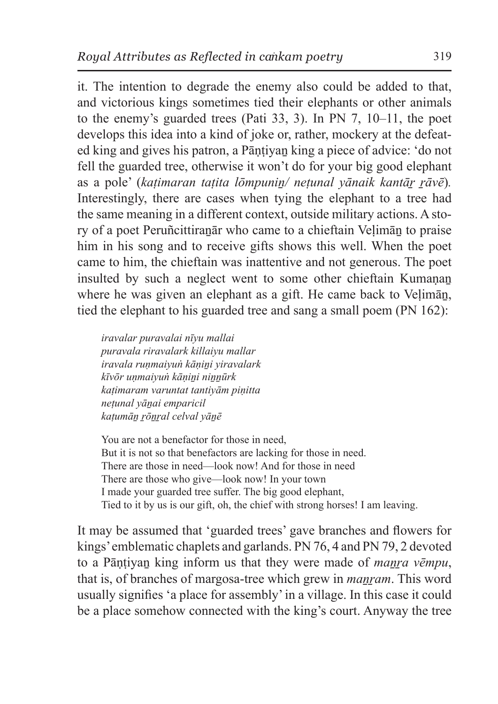it. The intention to degrade the enemy also could be added to that, and victorious kings sometimes tied their elephants or other animals to the enemy's guarded trees (Pati 33, 3). In PN 7, 10–11, the poet develops this idea into a kind of joke or, rather, mockery at the defeated king and gives his patron, a Pāṇṭiyaṉ king a piece of advice: 'do not fell the guarded tree, otherwise it won't do for your big good elephant as a pole' (*kaṭimaran taṭita lōmpuniṉ/ neṭunal yānaik kantāṟ ṟāvē*)*.*  Interestingly, there are cases when tying the elephant to a tree had the same meaning in a different context, outside military actions. A story of a poet Peruñcittiraṉār who came to a chieftain Veḷimāṉ to praise him in his song and to receive gifts shows this well. When the poet came to him, the chieftain was inattentive and not generous. The poet insulted by such a neglect went to some other chieftain Kumanan where he was given an elephant as a gift. He came back to Veḷimāṉ, tied the elephant to his guarded tree and sang a small poem (PN 162):

*iravalar puravalai nīyu mallai puravala riravalark killaiyu mallar iravala ruṇmaiyuṅ kāṇiṉi yiravalark kīvōr uṇmaiyuṅ kāṇiṉi niṉṉūrk kaṭimaram varuntat tantiyām piṇitta neṭunal yāṉai emparicil kaṭumāṉ ṟōṉṟal celval yāṉē*

You are not a benefactor for those in need, But it is not so that benefactors are lacking for those in need. There are those in need—look now! And for those in need There are those who give—look now! In your town I made your guarded tree suffer. The big good elephant, Tied to it by us is our gift, oh, the chief with strong horses! I am leaving.

It may be assumed that 'guarded trees' gave branches and flowers for kings' emblematic chaplets and garlands. PN 76, 4 and PN 79, 2 devoted to a Pāntiyan king inform us that they were made of *manra vēmpu*, that is, of branches of margosa-tree which grew in *maṉṟam*. This word usually signifies 'a place for assembly' in a village. In this case it could be a place somehow connected with the king's court. Anyway the tree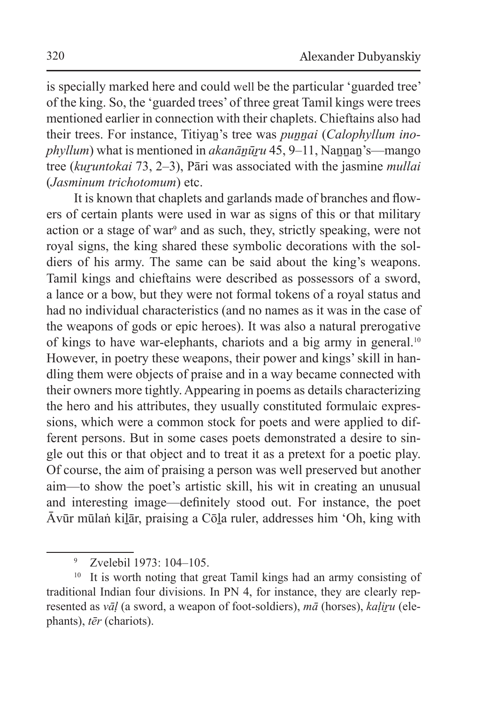is specially marked here and could well be the particular 'guarded tree' of the king. So, the 'guarded trees' of three great Tamil kings were trees mentioned earlier in connection with their chaplets. Chieftains also had their trees. For instance, Titiyaṉ's tree was *puṉṉai* (*Calophyllum inophyllum*) what is mentioned in *akanānūru* 45, 9–11, Nannan's—mango tree (*kuṟuntokai* 73, 2–3), Pāri was associated with the jasmine *mullai* (*Jasminum trichotomum*) etc.

It is known that chaplets and garlands made of branches and flowers of certain plants were used in war as signs of this or that military action or a stage of war<sup>9</sup> and as such, they, strictly speaking, were not royal signs, the king shared these symbolic decorations with the soldiers of his army. The same can be said about the king's weapons. Tamil kings and chieftains were described as possessors of a sword, a lance or a bow, but they were not formal tokens of a royal status and had no individual characteristics (and no names as it was in the case of the weapons of gods or epic heroes). It was also a natural prerogative of kings to have war-elephants, chariots and a big army in general.<sup>10</sup> However, in poetry these weapons, their power and kings' skill in handling them were objects of praise and in a way became connected with their owners more tightly. Appearing in poems as details characterizing the hero and his attributes, they usually constituted formulaic expressions, which were a common stock for poets and were applied to different persons. But in some cases poets demonstrated a desire to single out this or that object and to treat it as a pretext for a poetic play. Of course, the aim of praising a person was well preserved but another aim—to show the poet's artistic skill, his wit in creating an unusual and interesting image—definitely stood out. For instance, the poet Ᾱvūr mūlaṅ kiḻār, praising a Cōḻa ruler, addresses him 'Oh, king with

<sup>9</sup> Zvelebil 1973: 104–105.

<sup>&</sup>lt;sup>10</sup> It is worth noting that great Tamil kings had an army consisting of traditional Indian four divisions. In PN 4, for instance, they are clearly represented as *vāḷ* (a sword, a weapon of foot-soldiers), *mā* (horses), *kaḷiṟu* (elephants), *tēr* (chariots).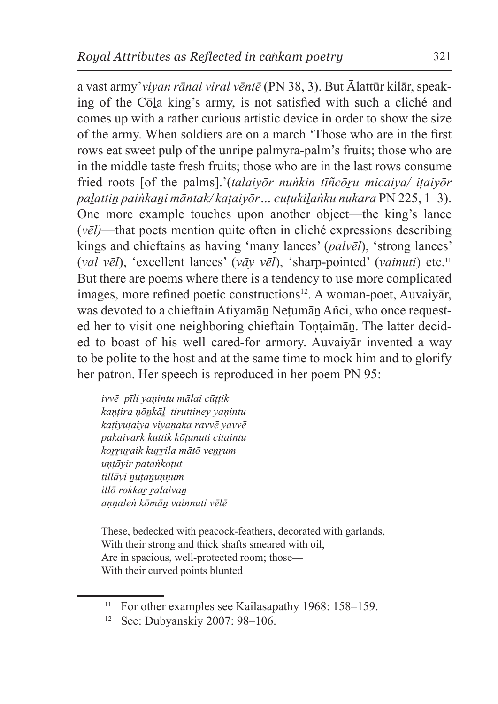a vast army'*viyan rānai viral vēntē* (PN 38, 3). But Ālattūr kilār, speaking of the Cōḻa king's army, is not satisfied with such a cliché and comes up with a rather curious artistic device in order to show the size of the army. When soldiers are on a march 'Those who are in the first rows eat sweet pulp of the unripe palmyra-palm's fruits; those who are in the middle taste fresh fruits; those who are in the last rows consume fried roots [of the palms].'(*talaivōr nuṅkin tīñcōru micaiva*/ *itaivōr paḻattiṉ paiṅkaṉi māntak/ kaṭaiyōr… cuṭukiḻaṅku nukara* PN 225, 1–3). One more example touches upon another object—the king's lance (*vēl)*—that poets mention quite often in cliché expressions describing kings and chieftains as having 'many lances' (*palvēl*), 'strong lances' (*val vēl*), 'excellent lances' (*vāy vēl*), 'sharp-pointed' (*vainuti*) etc.<sup>11</sup> But there are poems where there is a tendency to use more complicated images, more refined poetic constructions<sup>12</sup>. A woman-poet, Auvaiyār, was devoted to a chieftain Atiyamān Netumān Añci, who once requested her to visit one neighboring chieftain Tontaimān. The latter decided to boast of his well cared-for armory. Auvaiyār invented a way to be polite to the host and at the same time to mock him and to glorify her patron. Her speech is reproduced in her poem PN 95:

*ivvē pīli yaṇintu mālai cūṭṭik kaṇṭira ṇōṉkāḻ tiruttiney yaṇintu kaṭiyuṭaiya viyaṉaka ravvē yavvē pakaivark kuttik kōṭunuti citaintu koṟṟuṟaik kuṟṟila mātō veṉṟum uṇṭāyir pataṅkoṭut tillāyi ṉuṭaṉuṇṇum illō rokkaṟ ṟalaivaṉ aṇṇaleṅ kōmāṉ vainnuti vēlē*

These, bedecked with peacock-feathers, decorated with garlands, With their strong and thick shafts smeared with oil, Are in spacious, well-protected room; those— With their curved points blunted

<sup>&</sup>lt;sup>11</sup> For other examples see Kailasapathy 1968: 158–159.

<sup>12</sup> See: Dubyanskiy 2007: 98–106.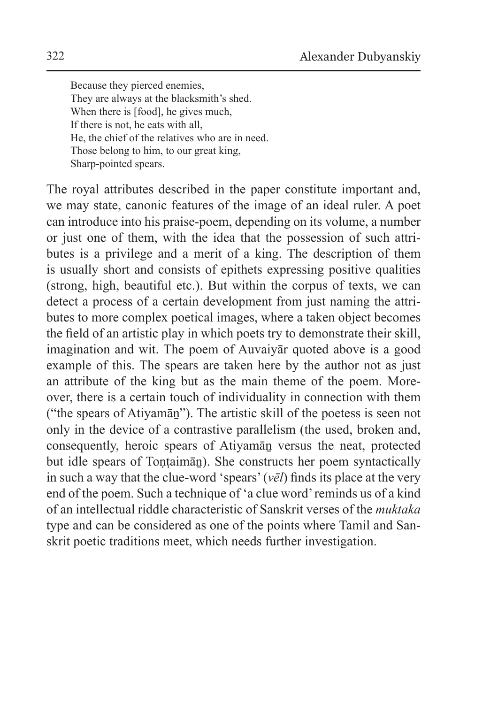Because they pierced enemies, They are always at the blacksmith's shed. When there is [food], he gives much, If there is not, he eats with all, He, the chief of the relatives who are in need. Those belong to him, to our great king, Sharp-pointed spears.

The royal attributes described in the paper constitute important and, we may state, canonic features of the image of an ideal ruler. A poet can introduce into his praise-poem, depending on its volume, a number or just one of them, with the idea that the possession of such attributes is a privilege and a merit of a king. The description of them is usually short and consists of epithets expressing positive qualities (strong, high, beautiful etc.). But within the corpus of texts, we can detect a process of a certain development from just naming the attributes to more complex poetical images, where a taken object becomes the field of an artistic play in which poets try to demonstrate their skill, imagination and wit. The poem of Auvaiyār quoted above is a good example of this. The spears are taken here by the author not as just an attribute of the king but as the main theme of the poem. Moreover, there is a certain touch of individuality in connection with them ("the spears of Atiyamāṉ"). The artistic skill of the poetess is seen not only in the device of a contrastive parallelism (the used, broken and, consequently, heroic spears of Atiyamāṉ versus the neat, protected but idle spears of Toṇṭaimāṉ). She constructs her poem syntactically in such a way that the clue-word 'spears' (*vēl*) finds its place at the very end of the poem. Such a technique of 'a clue word' reminds us of a kind of an intellectual riddle characteristic of Sanskrit verses of the *muktaka* type and can be considered as one of the points where Tamil and Sanskrit poetic traditions meet, which needs further investigation.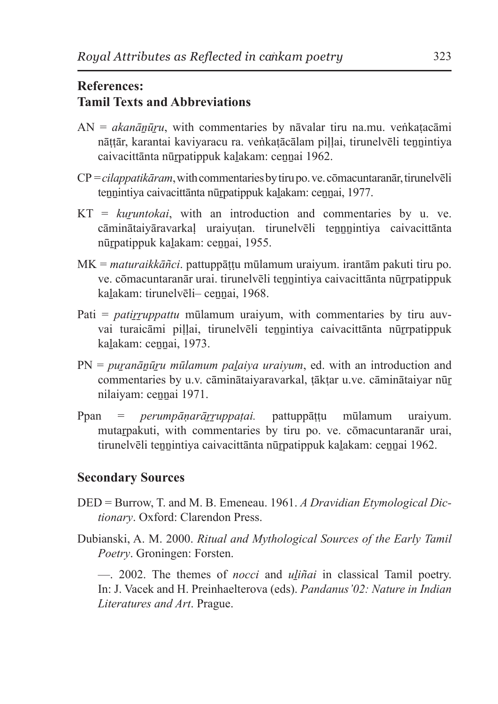## **References: Tamil Texts and Abbreviations**

- AN = *akanāṉūṟu*, with commentaries by nāvalar tiru na.mu. veṅkaṭacāmi nāṭṭār, karantai kaviyaracu ra. veṅkaṭācālam piḷḷai, tirunelvēli teṉṉintiya caivacittānta nūṟpatippuk kaḻakam: ceṉṉai 1962.
- CP = *cilappatikāram*, with commentaries by tiru po. ve. cōmacuntaranār,tirunelvēli tennintiya caivacittānta nūrpatippuk kalakam: cennai, 1977.
- KT = *kuṟuntokai*, with an introduction and commentaries by u. ve. cāminātaiyāravarkaḷ uraiyuṭan. tirunelvēli teṉṉṉintiya caivacittānta nūṟpatippuk kaḻakam: ceṉṉai, 1955.
- MK = *maturaikkāñci*. pattuppāṭṭu mūlamum uraiyum. irantām pakuti tiru po. ve. cōmacuntaranār urai. tirunelvēli tennintiya caivacittānta nūrrpatippuk kalakam: tirunelvēli- cennai, 1968.
- Pati = *patirruppattu* mūlamum uraiyum, with commentaries by tiru auvvai turaicāmi pillai, tirunelvēli tennintiya caivacittānta nūrrpatippuk kalakam: cennai, 1973.
- PN = *puranānūru mūlamum palaiva uraiyum*, ed. with an introduction and commentaries by u.v. cāminātaiyaravarkal, tāktar u.ve. cāminātaiyar nūr nilaiyam: cennai 1971.
- Ppan = *perumpāṇarāṟṟuppaṭai.* pattuppāṭṭu mūlamum uraiyum. mutarpakuti, with commentaries by tiru po. ve. comacuntaranār urai, tirunelvēli teṉṉintiya caivacittānta nūṟpatippuk kaḻakam: ceṉṉai 1962.

## **Secondary Sources**

- DED = Burrow, T. and M. B. Emeneau. 1961. *A Dravidian Etymological Dictionary*. Oxford: Clarendon Press.
- Dubianski, A. M. 2000. *Ritual and Mythological Sources of the Early Tamil Poetry*. Groningen: Forsten.

—. 2002. The themes of *nocci* and *uḻiñai* in classical Tamil poetry. In: J. Vacek and H. Preinhaelterova (eds). *Pandanus'02: Nature in Indian Literatures and Art*. Prague.